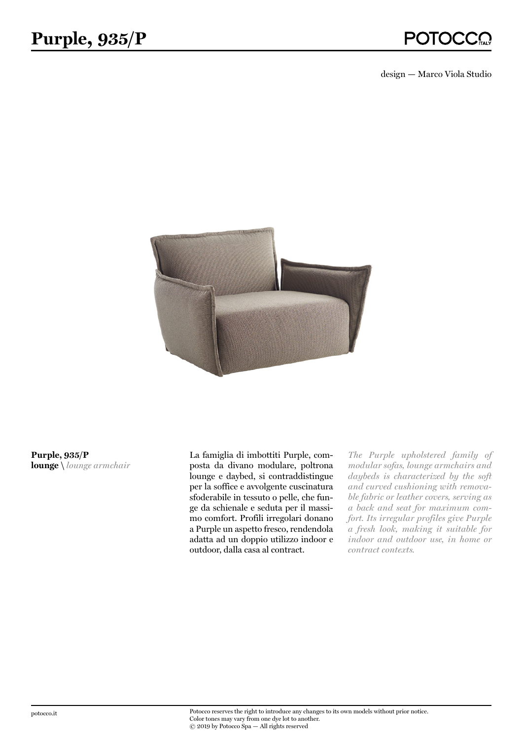design — Marco Viola Studio



**Purple, 935/P lounge \** *lounge armchair* La famiglia di imbottiti Purple, composta da divano modulare, poltrona lounge e daybed, si contraddistingue per la soffice e avvolgente cuscinatura sfoderabile in tessuto o pelle, che funge da schienale e seduta per il massimo comfort. Profili irregolari donano a Purple un aspetto fresco, rendendola adatta ad un doppio utilizzo indoor e outdoor, dalla casa al contract.

*The Purple upholstered family of modular sofas, lounge armchairs and daybeds is characterized by the soft and curved cushioning with removable fabric or leather covers, serving as a back and seat for maximum comfort. Its irregular profiles give Purple a fresh look, making it suitable for indoor and outdoor use, in home or contract contexts.*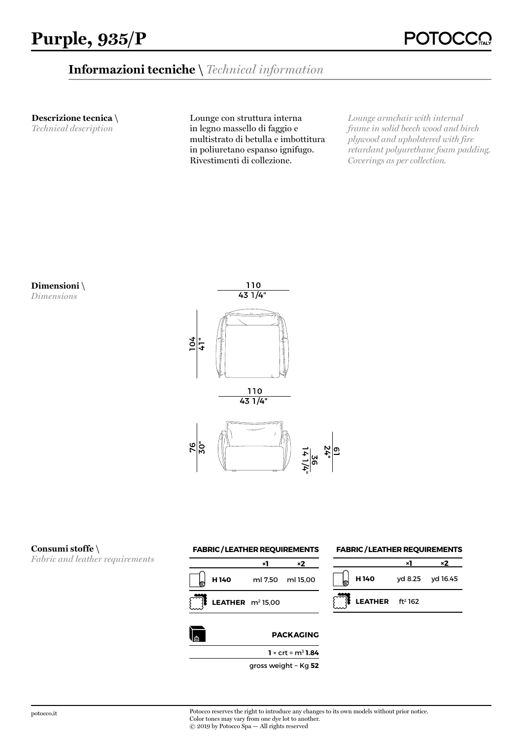# **Informazioni tecniche \** *Technical information*

**Descrizione tecnica \** 

*Technical description*

Lounge con struttura interna in legno massello di faggio e multistrato di betulla e imbottitura in poliuretano espanso ignifugo. Rivestimenti di collezione.

*Lounge armchair with internal frame in solid beech wood and birch plywood and upholstered with fire retardant polyurethane foam padding. Coverings as per collection.*





#### **Consumi stoffe \**

*Fabric and leather requirements*





## **FABRIC / LEATHER REQUIREMENTS**

| $\phi$ H 140              | yd 8.25 yd 16.45 |
|---------------------------|------------------|
| <b>LEATHER</b> $ft^2$ 162 |                  |

potocco.it Potocco reserves the right to introduce any changes to its own models without prior notice. Color tones may vary from one dye lot to another. © 2019 by Potocco Spa — All rights reserved

gross weight − Kg **52**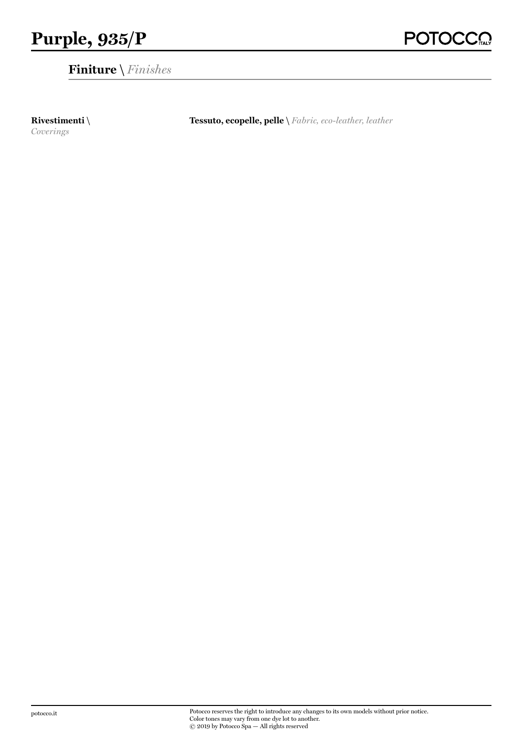**Finiture \** *Finishes*

**Rivestimenti \** *Coverings*

**Tessuto, ecopelle, pelle \** *Fabric, eco-leather, leather*